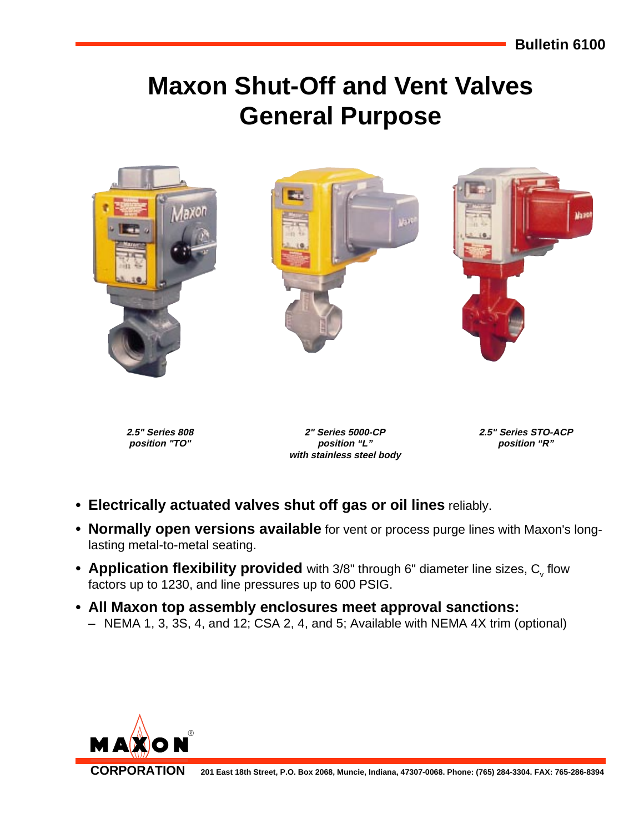# **Maxon Shut-Off and Vent Valves General Purpose**



**2.5" Series 808 position "TO"**

**2" Series 5000-CP position "L" with stainless steel body** **2.5" Series STO-ACP position "R"**

- **Electrically actuated valves shut off gas or oil lines** reliably.
- **Normally open versions available** for vent or process purge lines with Maxon's longlasting metal-to-metal seating.
- $\bullet$  Application flexibility provided with 3/8" through 6" diameter line sizes,  $\mathtt{C}_\mathtt{v}$  flow factors up to 1230, and line pressures up to 600 PSIG.
- **All Maxon top assembly enclosures meet approval sanctions:** – NEMA 1, 3, 3S, 4, and 12; CSA 2, 4, and 5; Available with NEMA 4X trim (optional)

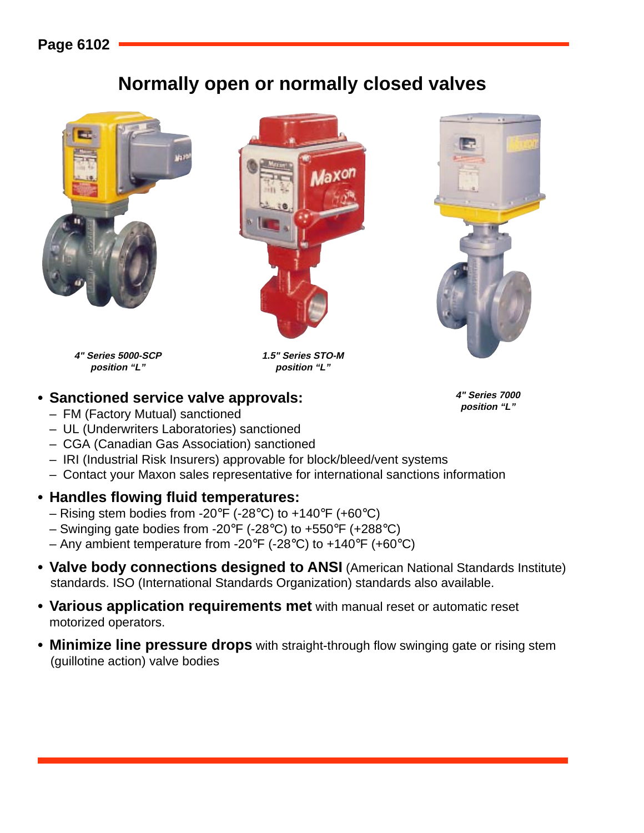### **Page 6102**

## **Normally open or normally closed valves**







**4" Series 5000-SCP position "L"**

**1.5" Series STO-M position "L"**

### • Sanctioned service valve approvals:<br>"Live and the service valve approvals:

- FM (Factory Mutual) sanctioned
- UL (Underwriters Laboratories) sanctioned
- CGA (Canadian Gas Association) sanctioned
- IRI (Industrial Risk Insurers) approvable for block/bleed/vent systems
- Contact your Maxon sales representative for international sanctions information

#### **• Handles flowing fluid temperatures:**

- Rising stem bodies from -20°F (-28°C) to +140°F (+60°C)
- Swinging gate bodies from -20 $\degree$ F (-28 $\degree$ C) to +550 $\degree$ F (+288 $\degree$ C)
- Any ambient temperature from -20 $\degree$ F (-28 $\degree$ C) to +140 $\degree$ F (+60 $\degree$ C)
- **Valve body connections designed to ANSI** (American National Standards Institute) standards. ISO (International Standards Organization) standards also available.
- **Various application requirements met** with manual reset or automatic reset motorized operators.
- **Minimize line pressure drops** with straight-through flow swinging gate or rising stem (guillotine action) valve bodies

**4" Series 7000**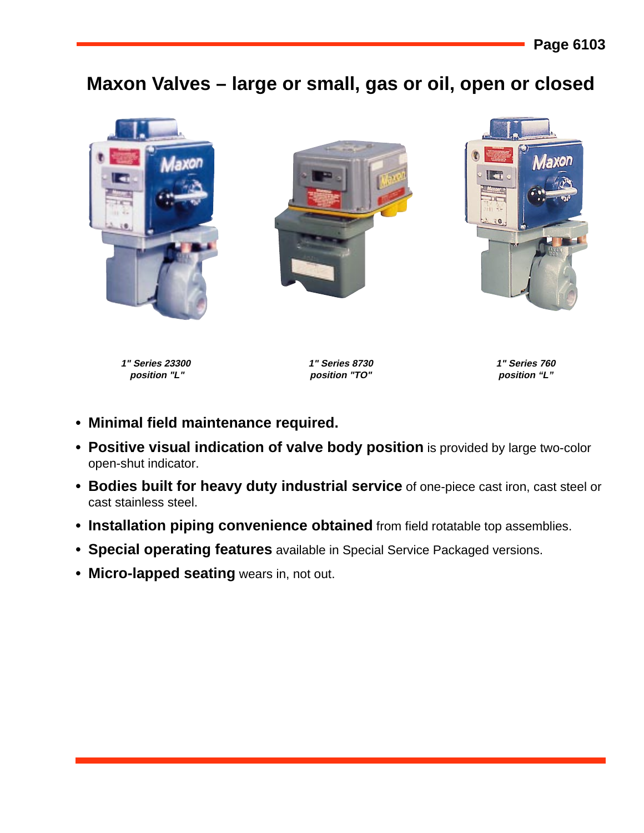## **Maxon Valves – large or small, gas or oil, open or closed**



**1" Series 23300 position "L"**

**1" Series 8730 position "TO"**

**1" Series 760 position "L"**

- **Minimal field maintenance required.**
- **Positive visual indication of valve body position** is provided by large two-color open-shut indicator.
- **Bodies built for heavy duty industrial service** of one-piece cast iron, cast steel or cast stainless steel.
- **Installation piping convenience obtained** from field rotatable top assemblies.
- **Special operating features** available in Special Service Packaged versions.
- **Micro-lapped seating** wears in, not out.